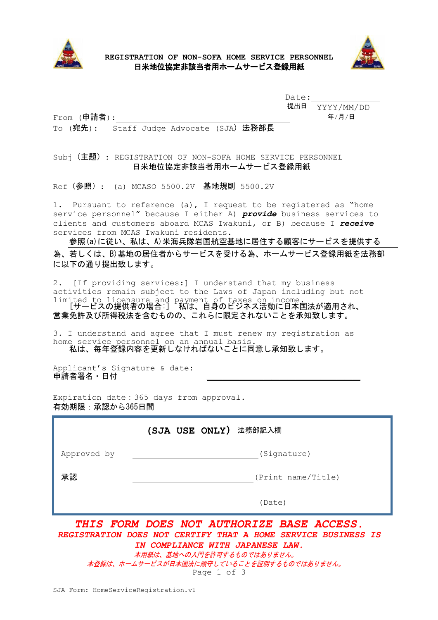

#### **REGISTRATION OF NON-SOFA HOME SERVICE PERSONNEL** 日米地位協定非該当者用ホームサービス登録用紙



Date: 提出日 YYYY/MM/DD 年/月/日

From (申請者):

#### To (宛先): Staff Judge Advocate (SJA) 法務部長

Subj(主題): REGISTRATION OF NON-SOFA HOME SERVICE PERSONNEL 日米地位協定非該当者用ホームサービス登録用紙

Ref (参照) : (a) MCASO 5500.2V 基地規則 5500.2V

1. Pursuant to reference (a), I request to be registered as "home service personnel" because I either A) *provide* business services to clients and customers aboard MCAS Iwakuni, or B) because I *receive*  services from MCAS Iwakuni residents.

参照(a)に従い、私は、A)米海兵隊岩国航空基地に居住する顧客にサービスを提供する 為、若しくは、B)基地の居住者からサービスを受ける為、ホームサービス登録用紙を法務部 に以下の通り提出致します。

2. [If providing services:] I understand that my business activities remain subject to the Laws of Japan including but not limited to licensure and payment of taxes on income. [サービスの提供者の場合:] 私は、自身のビジネス活動に日本国法が適用され、 営業免許及び所得税法を含むものの、これらに限定されないことを承知致します。

3. I understand and agree that I must renew my registration as home service personnel on an annual basis. 私は、毎年登録内容を更新しなければないことに同意し承知致します。

Applicant's Signature & date: 申請者署名・日付

Expiration date:365 days from approval. 有効期限:承認から365日間

|                                                                                                                                             | (SJA USE ONLY) 法務部記入欄 |  |  |
|---------------------------------------------------------------------------------------------------------------------------------------------|-----------------------|--|--|
| Approved by                                                                                                                                 | (Signature)           |  |  |
| 承認                                                                                                                                          | (Print name/Title)    |  |  |
|                                                                                                                                             | (Date)                |  |  |
| THIS FORM DOES NOT AUTHORIZE BASE ACCESS.<br>REGISTRATION DOES NOT CERTIFY THAT A HOME SERVICE BUSINESS IS<br>COMPLIANCE WITH JAPANESE LAW. |                       |  |  |

Page 1 of 3 本用紙は、基地への入門を許可するものではありません。 本登録は、ホームサービスが日本国法に順守していることを証明するものではありません。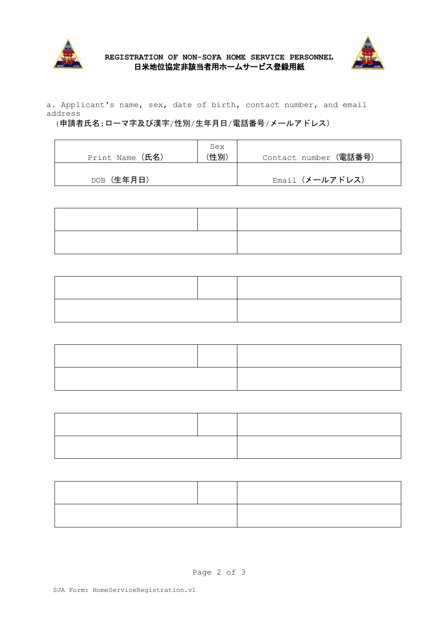



a. Applicant's name, sex, date of birth, contact number, and email address

# (申請者氏名:ローマ字及び漢字/性別/生年月日/電話番号/メールアドレス)

| Print Name (氏名) | Sex<br>(性別) | Contact number (電話番号) |
|-----------------|-------------|-----------------------|
| DOB (生年月日)      |             | Email (メールアドレス)       |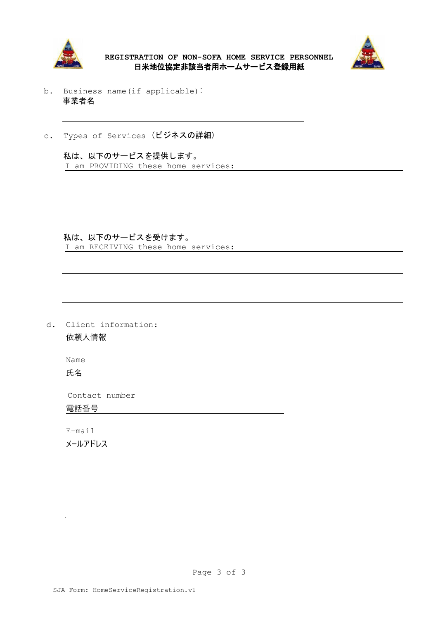

**REGISTRATION OF NON-SOFA HOME SERVICE PERSONNEL** 日米地位協定非該当者用ホームサービス登録用紙



- b. Business name(if applicable): 事業者名
- c. Types of Services (ビジネスの詳細)

 私は、以下のサービスを提供します。 I am PROVIDING these home services:

 私は、以下のサービスを受けます。 I am RECEIVING these home services:

d. Client information: 依頼人情報

Name

氏名

Contact number

電話番号

E-mail

 メールアドレス